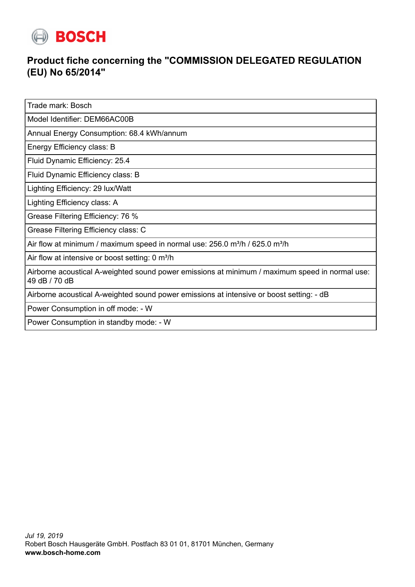

## **Product fiche concerning the "COMMISSION DELEGATED REGULATION (EU) No 65/2014"**

Trade mark: Bosch

Model Identifier: DEM66AC00B

Annual Energy Consumption: 68.4 kWh/annum

Energy Efficiency class: B

Fluid Dynamic Efficiency: 25.4

Fluid Dynamic Efficiency class: B

Lighting Efficiency: 29 lux/Watt

Lighting Efficiency class: A

Grease Filtering Efficiency: 76 %

Grease Filtering Efficiency class: C

Air flow at minimum / maximum speed in normal use:  $256.0$  m<sup>3</sup>/h / 625.0 m<sup>3</sup>/h

Air flow at intensive or boost setting: 0 m<sup>3</sup>/h

Airborne acoustical A-weighted sound power emissions at minimum / maximum speed in normal use: 49 dB / 70 dB

Airborne acoustical A-weighted sound power emissions at intensive or boost setting: - dB

Power Consumption in off mode: - W

Power Consumption in standby mode: - W